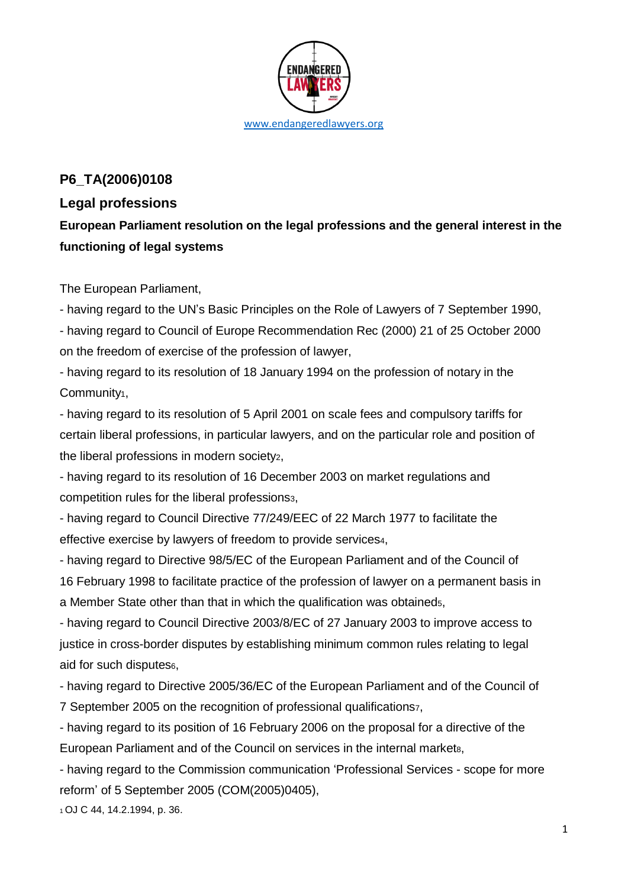

## **P6\_TA(2006)0108**

## **Legal professions**

**European Parliament resolution on the legal professions and the general interest in the functioning of legal systems**

The European Parliament,

- having regard to the UN's Basic Principles on the Role of Lawyers of 7 September 1990,

- having regard to Council of Europe Recommendation Rec (2000) 21 of 25 October 2000 on the freedom of exercise of the profession of lawyer,

- having regard to its resolution of 18 January 1994 on the profession of notary in the Community<sub>1</sub>,

- having regard to its resolution of 5 April 2001 on scale fees and compulsory tariffs for certain liberal professions, in particular lawyers, and on the particular role and position of the liberal professions in modern society2,

- having regard to its resolution of 16 December 2003 on market regulations and competition rules for the liberal professions3,

- having regard to Council Directive 77/249/EEC of 22 March 1977 to facilitate the effective exercise by lawyers of freedom to provide services4,

- having regard to Directive 98/5/EC of the European Parliament and of the Council of 16 February 1998 to facilitate practice of the profession of lawyer on a permanent basis in a Member State other than that in which the qualification was obtaineds,

- having regard to Council Directive 2003/8/EC of 27 January 2003 to improve access to justice in cross-border disputes by establishing minimum common rules relating to legal aid for such disputes<sub>6</sub>,

- having regard to Directive 2005/36/EC of the European Parliament and of the Council of 7 September 2005 on the recognition of professional qualifications7,

- having regard to its position of 16 February 2006 on the proposal for a directive of the European Parliament and of the Council on services in the internal markets,

- having regard to the Commission communication 'Professional Services - scope for more reform' of 5 September 2005 (COM(2005)0405),

1 OJ C 44, 14.2.1994, p. 36.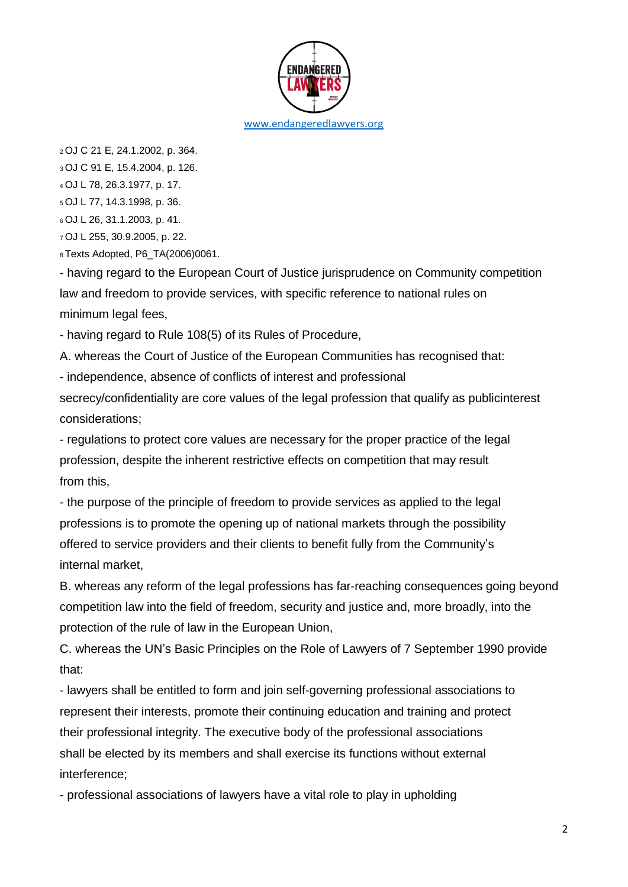

<sup>2</sup>OJ C 21 E, 24.1.2002, p. 364.

<sup>3</sup>OJ C 91 E, 15.4.2004, p. 126.

<sup>4</sup>OJ L 78, 26.3.1977, p. 17.

<sup>5</sup>OJ L 77, 14.3.1998, p. 36.

<sup>6</sup>OJ L 26, 31.1.2003, p. 41.

<sup>7</sup>OJ L 255, 30.9.2005, p. 22.

<sup>8</sup>Texts Adopted, P6\_TA(2006)0061.

- having regard to the European Court of Justice jurisprudence on Community competition law and freedom to provide services, with specific reference to national rules on minimum legal fees,

- having regard to Rule 108(5) of its Rules of Procedure,

A. whereas the Court of Justice of the European Communities has recognised that:

- independence, absence of conflicts of interest and professional

secrecy/confidentiality are core values of the legal profession that qualify as publicinterest considerations;

- regulations to protect core values are necessary for the proper practice of the legal profession, despite the inherent restrictive effects on competition that may result from this,

- the purpose of the principle of freedom to provide services as applied to the legal professions is to promote the opening up of national markets through the possibility offered to service providers and their clients to benefit fully from the Community's internal market,

B. whereas any reform of the legal professions has far-reaching consequences going beyond competition law into the field of freedom, security and justice and, more broadly, into the protection of the rule of law in the European Union,

C. whereas the UN's Basic Principles on the Role of Lawyers of 7 September 1990 provide that:

- lawyers shall be entitled to form and join self-governing professional associations to represent their interests, promote their continuing education and training and protect their professional integrity. The executive body of the professional associations shall be elected by its members and shall exercise its functions without external interference;

- professional associations of lawyers have a vital role to play in upholding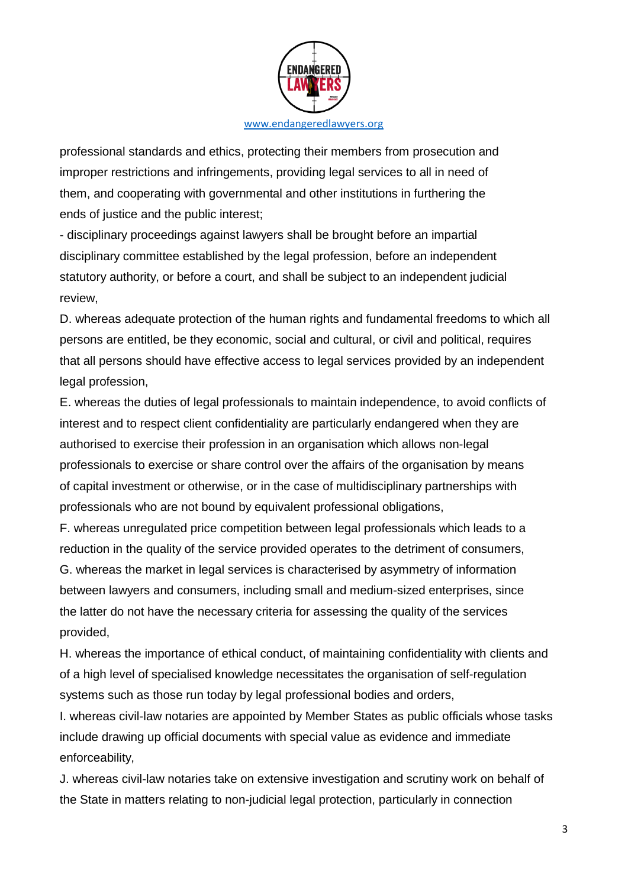

professional standards and ethics, protecting their members from prosecution and improper restrictions and infringements, providing legal services to all in need of them, and cooperating with governmental and other institutions in furthering the ends of justice and the public interest;

- disciplinary proceedings against lawyers shall be brought before an impartial disciplinary committee established by the legal profession, before an independent statutory authority, or before a court, and shall be subject to an independent judicial review,

D. whereas adequate protection of the human rights and fundamental freedoms to which all persons are entitled, be they economic, social and cultural, or civil and political, requires that all persons should have effective access to legal services provided by an independent legal profession,

E. whereas the duties of legal professionals to maintain independence, to avoid conflicts of interest and to respect client confidentiality are particularly endangered when they are authorised to exercise their profession in an organisation which allows non-legal professionals to exercise or share control over the affairs of the organisation by means of capital investment or otherwise, or in the case of multidisciplinary partnerships with professionals who are not bound by equivalent professional obligations,

F. whereas unregulated price competition between legal professionals which leads to a reduction in the quality of the service provided operates to the detriment of consumers, G. whereas the market in legal services is characterised by asymmetry of information between lawyers and consumers, including small and medium-sized enterprises, since the latter do not have the necessary criteria for assessing the quality of the services provided,

H. whereas the importance of ethical conduct, of maintaining confidentiality with clients and of a high level of specialised knowledge necessitates the organisation of self-regulation systems such as those run today by legal professional bodies and orders,

I. whereas civil-law notaries are appointed by Member States as public officials whose tasks include drawing up official documents with special value as evidence and immediate enforceability,

J. whereas civil-law notaries take on extensive investigation and scrutiny work on behalf of the State in matters relating to non-judicial legal protection, particularly in connection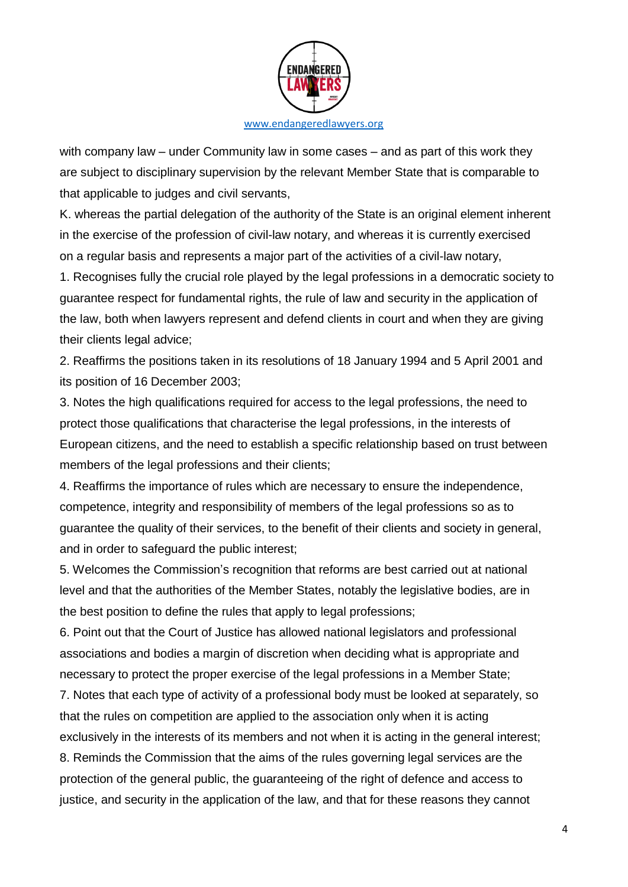

with company law – under Community law in some cases – and as part of this work they are subject to disciplinary supervision by the relevant Member State that is comparable to that applicable to judges and civil servants,

K. whereas the partial delegation of the authority of the State is an original element inherent in the exercise of the profession of civil-law notary, and whereas it is currently exercised on a regular basis and represents a major part of the activities of a civil-law notary,

1. Recognises fully the crucial role played by the legal professions in a democratic society to guarantee respect for fundamental rights, the rule of law and security in the application of the law, both when lawyers represent and defend clients in court and when they are giving their clients legal advice;

2. Reaffirms the positions taken in its resolutions of 18 January 1994 and 5 April 2001 and its position of 16 December 2003;

3. Notes the high qualifications required for access to the legal professions, the need to protect those qualifications that characterise the legal professions, in the interests of European citizens, and the need to establish a specific relationship based on trust between members of the legal professions and their clients;

4. Reaffirms the importance of rules which are necessary to ensure the independence, competence, integrity and responsibility of members of the legal professions so as to guarantee the quality of their services, to the benefit of their clients and society in general, and in order to safeguard the public interest;

5. Welcomes the Commission's recognition that reforms are best carried out at national level and that the authorities of the Member States, notably the legislative bodies, are in the best position to define the rules that apply to legal professions;

6. Point out that the Court of Justice has allowed national legislators and professional associations and bodies a margin of discretion when deciding what is appropriate and necessary to protect the proper exercise of the legal professions in a Member State;

7. Notes that each type of activity of a professional body must be looked at separately, so that the rules on competition are applied to the association only when it is acting exclusively in the interests of its members and not when it is acting in the general interest;

8. Reminds the Commission that the aims of the rules governing legal services are the protection of the general public, the guaranteeing of the right of defence and access to justice, and security in the application of the law, and that for these reasons they cannot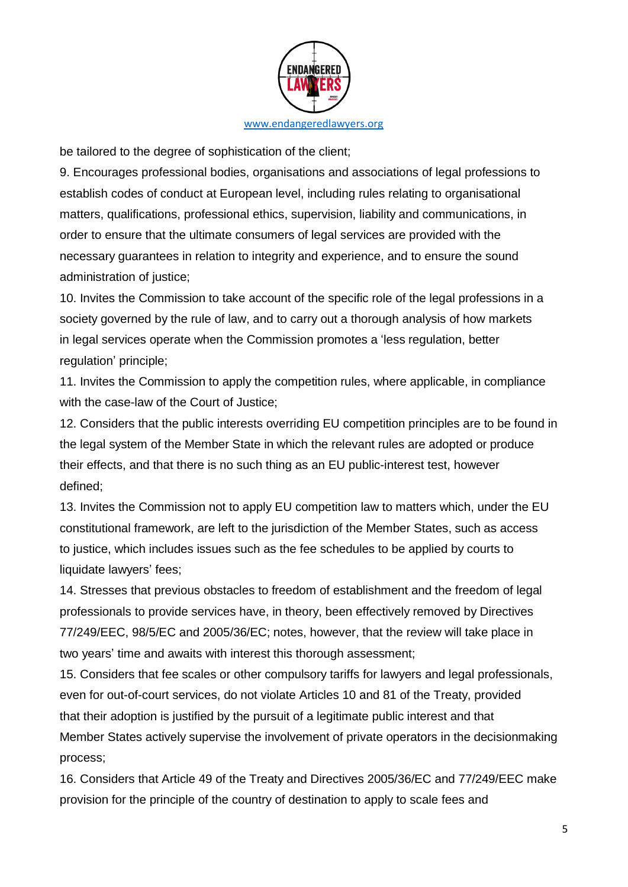

be tailored to the degree of sophistication of the client;

9. Encourages professional bodies, organisations and associations of legal professions to establish codes of conduct at European level, including rules relating to organisational matters, qualifications, professional ethics, supervision, liability and communications, in order to ensure that the ultimate consumers of legal services are provided with the necessary guarantees in relation to integrity and experience, and to ensure the sound administration of justice;

10. Invites the Commission to take account of the specific role of the legal professions in a society governed by the rule of law, and to carry out a thorough analysis of how markets in legal services operate when the Commission promotes a 'less regulation, better regulation' principle;

11. Invites the Commission to apply the competition rules, where applicable, in compliance with the case-law of the Court of Justice;

12. Considers that the public interests overriding EU competition principles are to be found in the legal system of the Member State in which the relevant rules are adopted or produce their effects, and that there is no such thing as an EU public-interest test, however defined;

13. Invites the Commission not to apply EU competition law to matters which, under the EU constitutional framework, are left to the jurisdiction of the Member States, such as access to justice, which includes issues such as the fee schedules to be applied by courts to liquidate lawyers' fees;

14. Stresses that previous obstacles to freedom of establishment and the freedom of legal professionals to provide services have, in theory, been effectively removed by Directives 77/249/EEC, 98/5/EC and 2005/36/EC; notes, however, that the review will take place in two years' time and awaits with interest this thorough assessment;

15. Considers that fee scales or other compulsory tariffs for lawyers and legal professionals, even for out-of-court services, do not violate Articles 10 and 81 of the Treaty, provided that their adoption is justified by the pursuit of a legitimate public interest and that Member States actively supervise the involvement of private operators in the decisionmaking process;

16. Considers that Article 49 of the Treaty and Directives 2005/36/EC and 77/249/EEC make provision for the principle of the country of destination to apply to scale fees and